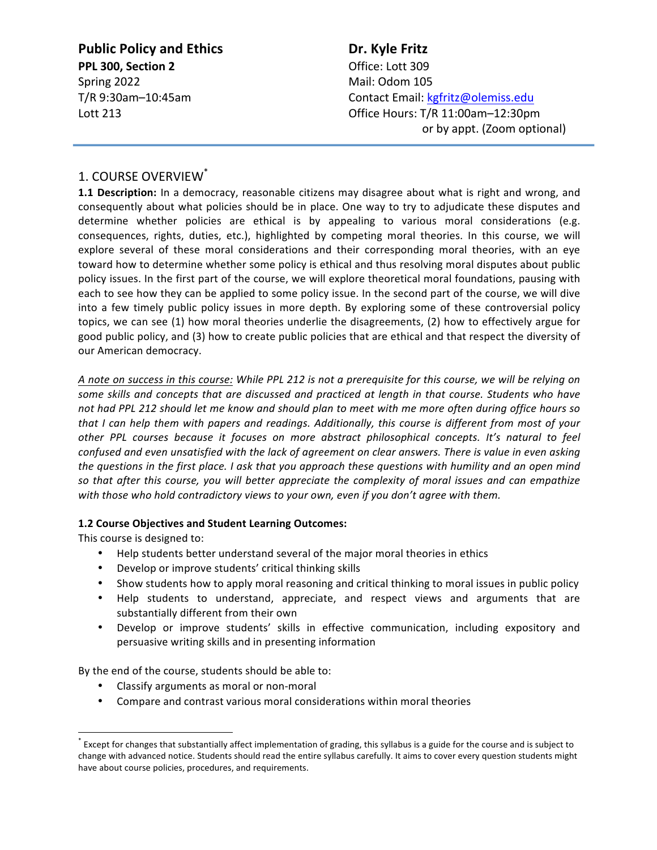**Public Policy and Ethics <b>Dr.** Kyle Fritz **PPL 300, Section 2 COMPLEM** Office: Lott 309 Spring 2022 Mail: Odom 105

T/R 9:30am–10:45am Contact Email: kgfritz@olemiss.edu Lott 213 **Detect 213 Contract 213 Contract 213 Contract 213 Contract 213 Contract 213 Contract 213 Contract 213 Contract 213** or by appt. (Zoom optional)

# 1. COURSE OVERVIEW<sup>\*</sup>

**1.1 Description:** In a democracy, reasonable citizens may disagree about what is right and wrong, and consequently about what policies should be in place. One way to try to adjudicate these disputes and determine whether policies are ethical is by appealing to various moral considerations (e.g. consequences, rights, duties, etc.), highlighted by competing moral theories. In this course, we will explore several of these moral considerations and their corresponding moral theories, with an eye toward how to determine whether some policy is ethical and thus resolving moral disputes about public policy issues. In the first part of the course, we will explore theoretical moral foundations, pausing with each to see how they can be applied to some policy issue. In the second part of the course, we will dive into a few timely public policy issues in more depth. By exploring some of these controversial policy topics, we can see (1) how moral theories underlie the disagreements, (2) how to effectively argue for good public policy, and (3) how to create public policies that are ethical and that respect the diversity of our American democracy.

A note on success in this course: While PPL 212 is not a prerequisite for this course, we will be relying on some skills and concepts that are discussed and practiced at length in that course. Students who have not had PPL 212 should let me know and should plan to meet with me more often during office hours so *that* I can help them with papers and readings. Additionally, this course is different from most of your *other PPL courses because it focuses on more abstract philosophical concepts. It's natural to feel confused and even unsatisfied with the lack of agreement on clear answers. There is value in even asking* the questions in the first place. I ask that you approach these questions with humility and an open mind so that after this course, you will better appreciate the complexity of moral issues and can empathize with those who hold contradictory views to your own, even if you don't agree with them.

#### **1.2 Course Objectives and Student Learning Outcomes:**

This course is designed to:

- Help students better understand several of the major moral theories in ethics
- Develop or improve students' critical thinking skills
- Show students how to apply moral reasoning and critical thinking to moral issues in public policy
- Help students to understand, appreciate, and respect views and arguments that are substantially different from their own
- Develop or improve students' skills in effective communication, including expository and persuasive writing skills and in presenting information

By the end of the course, students should be able to:

- Classify arguments as moral or non-moral
- Compare and contrast various moral considerations within moral theories

Except for changes that substantially affect implementation of grading, this syllabus is a guide for the course and is subject to change with advanced notice. Students should read the entire syllabus carefully. It aims to cover every question students might have about course policies, procedures, and requirements.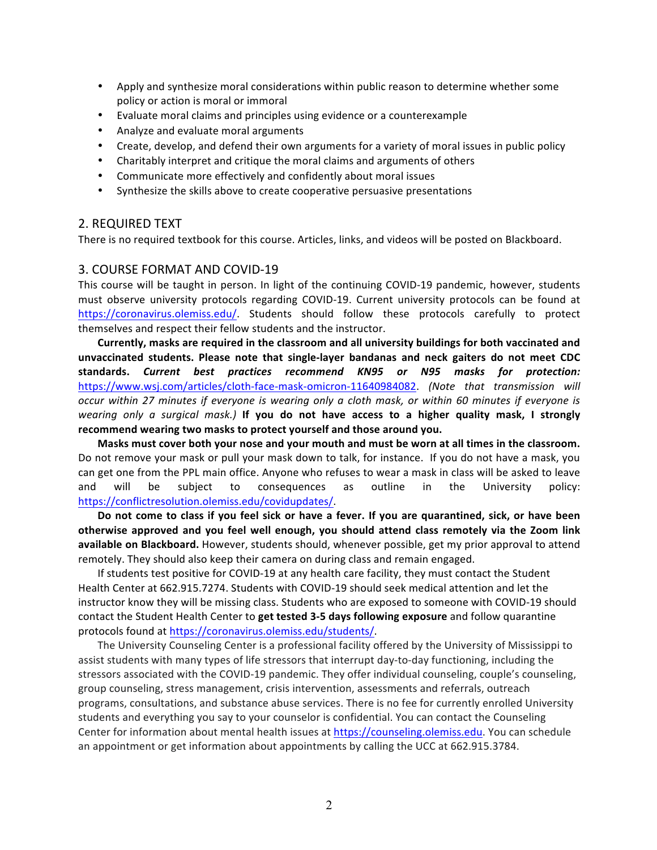- Apply and synthesize moral considerations within public reason to determine whether some policy or action is moral or immoral
- Evaluate moral claims and principles using evidence or a counterexample
- Analyze and evaluate moral arguments
- Create, develop, and defend their own arguments for a variety of moral issues in public policy
- Charitably interpret and critique the moral claims and arguments of others
- Communicate more effectively and confidently about moral issues
- Synthesize the skills above to create cooperative persuasive presentations

#### 2. REQUIRED TEXT

There is no required textbook for this course. Articles, links, and videos will be posted on Blackboard.

#### 3. COURSE FORMAT AND COVID-19

This course will be taught in person. In light of the continuing COVID-19 pandemic, however, students must observe university protocols regarding COVID-19. Current university protocols can be found at https://coronavirus.olemiss.edu/. Students should follow these protocols carefully to protect themselves and respect their fellow students and the instructor.

Currently, masks are required in the classroom and all university buildings for both vaccinated and unvaccinated students. Please note that single-layer bandanas and neck gaiters do not meet CDC **standards.**  *Current best practices recommend KN95 or N95 masks for protection:* https://www.wsj.com/articles/cloth-face-mask-omicron-11640984082. (Note that transmission will *occur* within 27 minutes if everyone is wearing only a cloth mask, or within 60 minutes if everyone is *wearing* only a surgical mask.) If you do not have access to a higher quality mask, I strongly recommend wearing two masks to protect yourself and those around you.

Masks must cover both your nose and your mouth and must be worn at all times in the classroom. Do not remove your mask or pull your mask down to talk, for instance. If you do not have a mask, you can get one from the PPL main office. Anyone who refuses to wear a mask in class will be asked to leave and will be subject to consequences as outline in the University policy: https://conflictresolution.olemiss.edu/covidupdates/. 

Do not come to class if you feel sick or have a fever. If you are quarantined, sick, or have been otherwise approved and you feel well enough, you should attend class remotely via the Zoom link available on Blackboard. However, students should, whenever possible, get my prior approval to attend remotely. They should also keep their camera on during class and remain engaged.

If students test positive for COVID-19 at any health care facility, they must contact the Student Health Center at 662.915.7274. Students with COVID-19 should seek medical attention and let the instructor know they will be missing class. Students who are exposed to someone with COVID-19 should contact the Student Health Center to get tested 3-5 days following exposure and follow quarantine protocols found at https://coronavirus.olemiss.edu/students/.

The University Counseling Center is a professional facility offered by the University of Mississippi to assist students with many types of life stressors that interrupt day-to-day functioning, including the stressors associated with the COVID-19 pandemic. They offer individual counseling, couple's counseling, group counseling, stress management, crisis intervention, assessments and referrals, outreach programs, consultations, and substance abuse services. There is no fee for currently enrolled University students and everything you say to your counselor is confidential. You can contact the Counseling Center for information about mental health issues at https://counseling.olemiss.edu. You can schedule an appointment or get information about appointments by calling the UCC at 662.915.3784.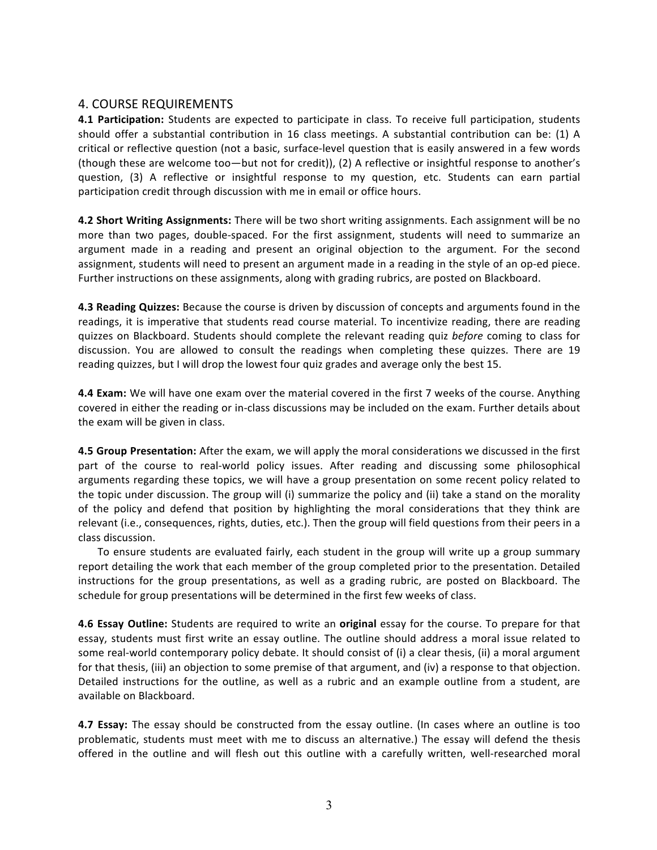# 4. COURSE REQUIREMENTS

**4.1 Participation:** Students are expected to participate in class. To receive full participation, students should offer a substantial contribution in 16 class meetings. A substantial contribution can be: (1) A critical or reflective question (not a basic, surface-level question that is easily answered in a few words (though these are welcome too—but not for credit)), (2) A reflective or insightful response to another's question, (3) A reflective or insightful response to my question, etc. Students can earn partial participation credit through discussion with me in email or office hours.

**4.2 Short Writing Assignments:** There will be two short writing assignments. Each assignment will be no more than two pages, double-spaced. For the first assignment, students will need to summarize an argument made in a reading and present an original objection to the argument. For the second assignment, students will need to present an argument made in a reading in the style of an op-ed piece. Further instructions on these assignments, along with grading rubrics, are posted on Blackboard.

**4.3 Reading Quizzes:** Because the course is driven by discussion of concepts and arguments found in the readings, it is imperative that students read course material. To incentivize reading, there are reading quizzes on Blackboard. Students should complete the relevant reading quiz before coming to class for discussion. You are allowed to consult the readings when completing these quizzes. There are 19 reading quizzes, but I will drop the lowest four quiz grades and average only the best 15.

**4.4 Exam:** We will have one exam over the material covered in the first 7 weeks of the course. Anything covered in either the reading or in-class discussions may be included on the exam. Further details about the exam will be given in class.

**4.5 Group Presentation:** After the exam, we will apply the moral considerations we discussed in the first part of the course to real-world policy issues. After reading and discussing some philosophical arguments regarding these topics, we will have a group presentation on some recent policy related to the topic under discussion. The group will (i) summarize the policy and (ii) take a stand on the morality of the policy and defend that position by highlighting the moral considerations that they think are relevant (i.e., consequences, rights, duties, etc.). Then the group will field questions from their peers in a class discussion.

To ensure students are evaluated fairly, each student in the group will write up a group summary report detailing the work that each member of the group completed prior to the presentation. Detailed instructions for the group presentations, as well as a grading rubric, are posted on Blackboard. The schedule for group presentations will be determined in the first few weeks of class.

**4.6 Essay Outline:** Students are required to write an **original** essay for the course. To prepare for that essay, students must first write an essay outline. The outline should address a moral issue related to some real-world contemporary policy debate. It should consist of (i) a clear thesis, (ii) a moral argument for that thesis, (iii) an objection to some premise of that argument, and (iv) a response to that objection. Detailed instructions for the outline, as well as a rubric and an example outline from a student, are available on Blackboard.

**4.7 Essay:** The essay should be constructed from the essay outline. (In cases where an outline is too problematic, students must meet with me to discuss an alternative.) The essay will defend the thesis offered in the outline and will flesh out this outline with a carefully written, well-researched moral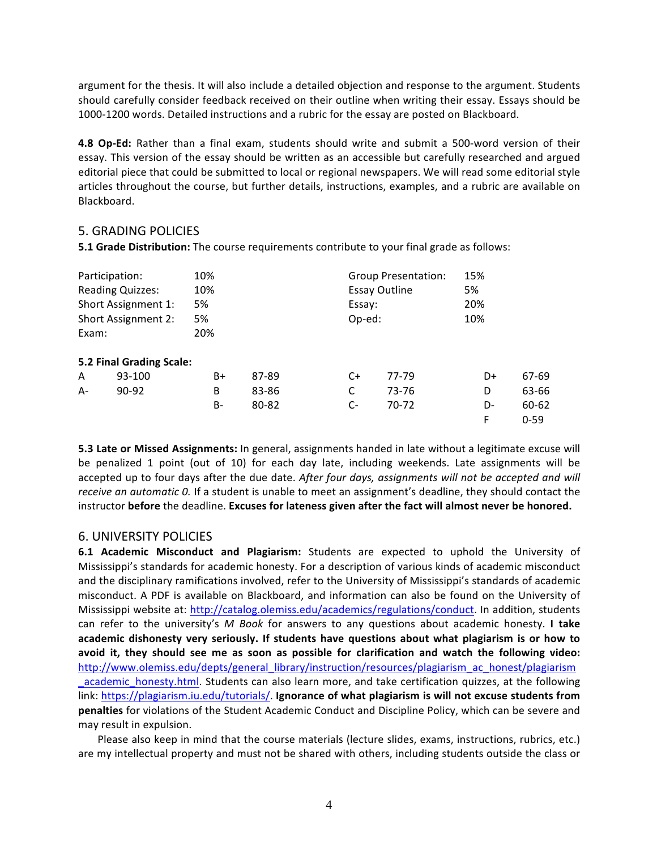argument for the thesis. It will also include a detailed objection and response to the argument. Students should carefully consider feedback received on their outline when writing their essay. Essays should be 1000-1200 words. Detailed instructions and a rubric for the essay are posted on Blackboard.

**4.8 Op-Ed:** Rather than a final exam, students should write and submit a 500-word version of their essay. This version of the essay should be written as an accessible but carefully researched and argued editorial piece that could be submitted to local or regional newspapers. We will read some editorial style articles throughout the course, but further details, instructions, examples, and a rubric are available on Blackboard.

### **5. GRADING POLICIES**

**5.1 Grade Distribution:** The course requirements contribute to your final grade as follows:

| Participation:          |                          | 10% |       |                      | <b>Group Presentation:</b> |     |          |
|-------------------------|--------------------------|-----|-------|----------------------|----------------------------|-----|----------|
| <b>Reading Quizzes:</b> |                          | 10% |       | <b>Essay Outline</b> |                            | 5%  |          |
| Short Assignment 1:     |                          | 5%  |       | Essay:               |                            | 20% |          |
| Short Assignment 2:     |                          | 5%  |       | Op-ed:               |                            | 10% |          |
| Exam:                   |                          | 20% |       |                      |                            |     |          |
|                         | 5.2 Final Grading Scale: |     |       |                      |                            |     |          |
| A                       | 93-100                   | B+  | 87-89 | C+                   | 77-79                      | D+  | 67-69    |
| A-                      | 90-92                    | B   | 83-86 | C                    | 73-76                      | D   | 63-66    |
|                         |                          | B-  | 80-82 | $C-$                 | 70-72                      | D-  | 60-62    |
|                         |                          |     |       |                      |                            | F   | $0 - 59$ |

**5.3 Late or Missed Assignments:** In general, assignments handed in late without a legitimate excuse will be penalized 1 point (out of 10) for each day late, including weekends. Late assignments will be accepted up to four days after the due date. After four days, assignments will not be accepted and will *receive an automatic 0.* If a student is unable to meet an assignment's deadline, they should contact the instructor before the deadline. Excuses for lateness given after the fact will almost never be honored.

#### 6. UNIVERSITY POLICIES

**6.1 Academic Misconduct and Plagiarism:** Students are expected to uphold the University of Mississippi's standards for academic honesty. For a description of various kinds of academic misconduct and the disciplinary ramifications involved, refer to the University of Mississippi's standards of academic misconduct. A PDF is available on Blackboard, and information can also be found on the University of Mississippi website at: http://catalog.olemiss.edu/academics/regulations/conduct. In addition, students can refer to the university's M Book for answers to any questions about academic honesty. I take academic dishonesty very seriously. If students have questions about what plagiarism is or how to avoid it, they should see me as soon as possible for clarification and watch the following video: http://www.olemiss.edu/depts/general\_library/instruction/resources/plagiarism\_ac\_honest/plagiarism academic honesty.html. Students can also learn more, and take certification quizzes, at the following link: https://plagiarism.iu.edu/tutorials/. Ignorance of what plagiarism is will not excuse students from **penalties** for violations of the Student Academic Conduct and Discipline Policy, which can be severe and may result in expulsion.

Please also keep in mind that the course materials (lecture slides, exams, instructions, rubrics, etc.) are my intellectual property and must not be shared with others, including students outside the class or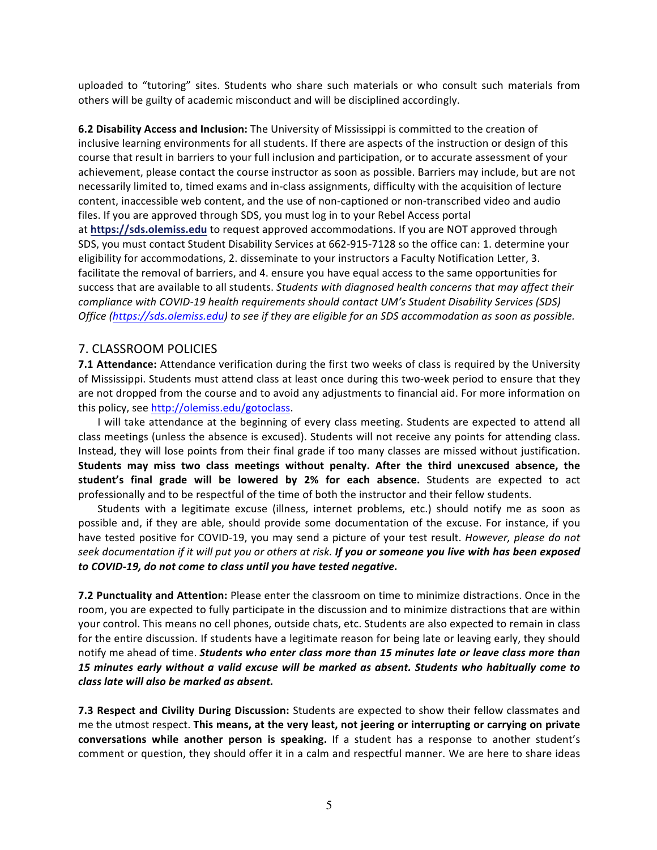uploaded to "tutoring" sites. Students who share such materials or who consult such materials from others will be guilty of academic misconduct and will be disciplined accordingly.

**6.2 Disability Access and Inclusion:** The University of Mississippi is committed to the creation of inclusive learning environments for all students. If there are aspects of the instruction or design of this course that result in barriers to your full inclusion and participation, or to accurate assessment of your achievement, please contact the course instructor as soon as possible. Barriers may include, but are not necessarily limited to, timed exams and in-class assignments, difficulty with the acquisition of lecture content, inaccessible web content, and the use of non-captioned or non-transcribed video and audio files. If you are approved through SDS, you must log in to your Rebel Access portal at https://sds.olemiss.edu to request approved accommodations. If you are NOT approved through SDS, you must contact Student Disability Services at 662-915-7128 so the office can: 1. determine your eligibility for accommodations, 2. disseminate to your instructors a Faculty Notification Letter, 3. facilitate the removal of barriers, and 4. ensure you have equal access to the same opportunities for

success that are available to all students. *Students with diagnosed health concerns that may affect their compliance with COVID-19 health requirements should contact UM's Student Disability Services (SDS) Office* (https://sds.olemiss.edu) to see if they are eligible for an SDS accommodation as soon as possible.

## 7. CLASSROOM POLICIES

**7.1 Attendance:** Attendance verification during the first two weeks of class is required by the University of Mississippi. Students must attend class at least once during this two-week period to ensure that they are not dropped from the course and to avoid any adjustments to financial aid. For more information on this policy, see http://olemiss.edu/gotoclass.

I will take attendance at the beginning of every class meeting. Students are expected to attend all class meetings (unless the absence is excused). Students will not receive any points for attending class. Instead, they will lose points from their final grade if too many classes are missed without justification. **Students may miss two class meetings without penalty. After the third unexcused absence, the**  student's final grade will be lowered by 2% for each absence. Students are expected to act professionally and to be respectful of the time of both the instructor and their fellow students.

Students with a legitimate excuse (illness, internet problems, etc.) should notify me as soon as possible and, if they are able, should provide some documentation of the excuse. For instance, if you have tested positive for COVID-19, you may send a picture of your test result. *However, please do not* seek documentation if it will put you or others at risk. **If you or someone you live with has been exposed** to COVID-19, do not come to class until you have tested negative.

**7.2 Punctuality and Attention:** Please enter the classroom on time to minimize distractions. Once in the room, you are expected to fully participate in the discussion and to minimize distractions that are within your control. This means no cell phones, outside chats, etc. Students are also expected to remain in class for the entire discussion. If students have a legitimate reason for being late or leaving early, they should notify me ahead of time. **Students who enter class more than 15 minutes late or leave class more than** 15 minutes early without a valid excuse will be marked as absent. Students who habitually come to *class late will also be marked as absent.*

**7.3 Respect and Civility During Discussion:** Students are expected to show their fellow classmates and me the utmost respect. This means, at the very least, not jeering or interrupting or carrying on private **conversations while another person is speaking.** If a student has a response to another student's comment or question, they should offer it in a calm and respectful manner. We are here to share ideas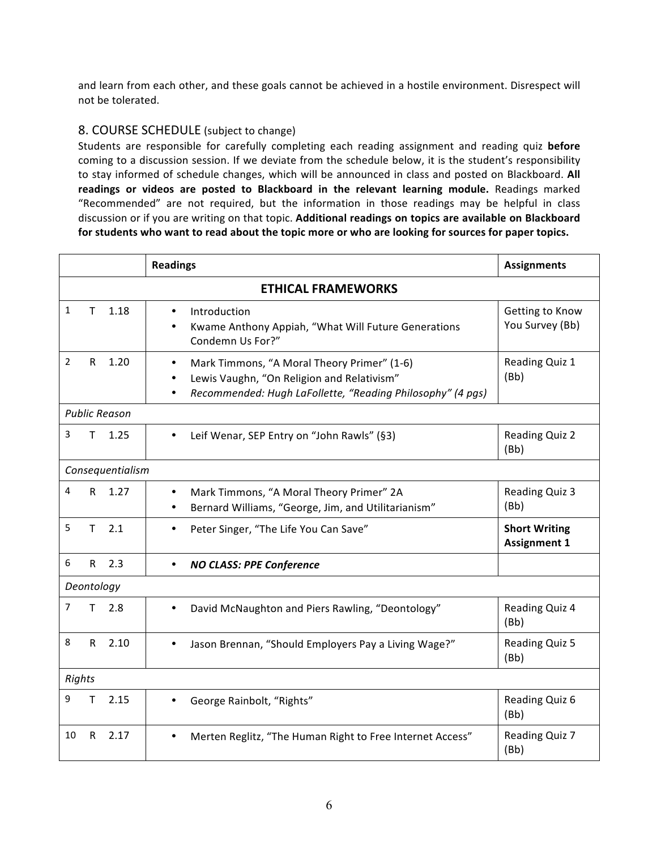and learn from each other, and these goals cannot be achieved in a hostile environment. Disrespect will not be tolerated.

# 8. COURSE SCHEDULE (subject to change)

Students are responsible for carefully completing each reading assignment and reading quiz **before** coming to a discussion session. If we deviate from the schedule below, it is the student's responsibility to stay informed of schedule changes, which will be announced in class and posted on Blackboard. All readings or videos are posted to Blackboard in the relevant learning module. Readings marked "Recommended" are not required, but the information in those readings may be helpful in class discussion or if you are writing on that topic. Additional readings on topics are available on Blackboard for students who want to read about the topic more or who are looking for sources for paper topics.

|                           |              |                      | <b>Readings</b>                                                                                                                                                                   | <b>Assignments</b>                          |
|---------------------------|--------------|----------------------|-----------------------------------------------------------------------------------------------------------------------------------------------------------------------------------|---------------------------------------------|
| <b>ETHICAL FRAMEWORKS</b> |              |                      |                                                                                                                                                                                   |                                             |
| $\mathbf{1}$              | T.           | 1.18                 | Introduction<br>$\bullet$<br>Kwame Anthony Appiah, "What Will Future Generations<br>$\bullet$<br>Condemn Us For?"                                                                 | Getting to Know<br>You Survey (Bb)          |
| $\overline{2}$            | $\mathsf{R}$ | 1.20                 | Mark Timmons, "A Moral Theory Primer" (1-6)<br>$\bullet$<br>Lewis Vaughn, "On Religion and Relativism"<br>$\bullet$<br>Recommended: Hugh LaFollette, "Reading Philosophy" (4 pgs) | Reading Quiz 1<br>(Bb)                      |
|                           |              | <b>Public Reason</b> |                                                                                                                                                                                   |                                             |
| 3                         | T.           | 1.25                 | Leif Wenar, SEP Entry on "John Rawls" (§3)<br>$\bullet$                                                                                                                           | <b>Reading Quiz 2</b><br>(Bb)               |
| Consequentialism          |              |                      |                                                                                                                                                                                   |                                             |
| 4                         | R            | 1.27                 | Mark Timmons, "A Moral Theory Primer" 2A<br>Bernard Williams, "George, Jim, and Utilitarianism"                                                                                   | Reading Quiz 3<br>(Bb)                      |
| 5                         | T.           | 2.1                  | Peter Singer, "The Life You Can Save"<br>$\bullet$                                                                                                                                | <b>Short Writing</b><br><b>Assignment 1</b> |
| 6                         | $\mathsf{R}$ | 2.3                  | <b>NO CLASS: PPE Conference</b><br>$\bullet$                                                                                                                                      |                                             |
| Deontology                |              |                      |                                                                                                                                                                                   |                                             |
| 7                         | T            | 2.8                  | David McNaughton and Piers Rawling, "Deontology"                                                                                                                                  | Reading Quiz 4<br>(Bb)                      |
| 8                         | R            | 2.10                 | Jason Brennan, "Should Employers Pay a Living Wage?"<br>$\bullet$                                                                                                                 | Reading Quiz 5<br>(Bb)                      |
| Rights                    |              |                      |                                                                                                                                                                                   |                                             |
| 9                         | Τ            | 2.15                 | George Rainbolt, "Rights"                                                                                                                                                         | Reading Quiz 6<br>(Bb)                      |
| 10                        | R            | 2.17                 | Merten Reglitz, "The Human Right to Free Internet Access"                                                                                                                         | Reading Quiz 7<br>(Bb)                      |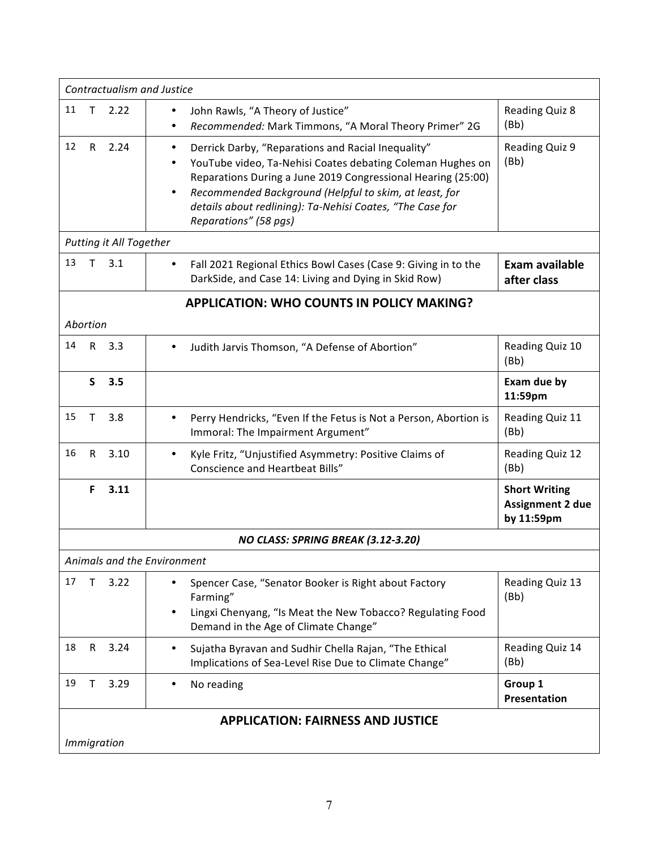| Contractualism and Justice               |                                                                                                                                                                                                                                                                                                                                                    |                                                               |  |  |  |
|------------------------------------------|----------------------------------------------------------------------------------------------------------------------------------------------------------------------------------------------------------------------------------------------------------------------------------------------------------------------------------------------------|---------------------------------------------------------------|--|--|--|
| 11<br>2.22<br>т                          | John Rawls, "A Theory of Justice"<br>$\bullet$<br>Recommended: Mark Timmons, "A Moral Theory Primer" 2G                                                                                                                                                                                                                                            | Reading Quiz 8<br>(Bb)                                        |  |  |  |
| 12<br>R.<br>2.24                         | Derrick Darby, "Reparations and Racial Inequality"<br>$\bullet$<br>YouTube video, Ta-Nehisi Coates debating Coleman Hughes on<br>Reparations During a June 2019 Congressional Hearing (25:00)<br>Recommended Background (Helpful to skim, at least, for<br>٠<br>details about redlining): Ta-Nehisi Coates, "The Case for<br>Reparations" (58 pgs) | Reading Quiz 9<br>(Bb)                                        |  |  |  |
| <b>Putting it All Together</b>           |                                                                                                                                                                                                                                                                                                                                                    |                                                               |  |  |  |
| 13<br>3.1                                | Fall 2021 Regional Ethics Bowl Cases (Case 9: Giving in to the<br>٠<br>DarkSide, and Case 14: Living and Dying in Skid Row)                                                                                                                                                                                                                        | Exam available<br>after class                                 |  |  |  |
|                                          | <b>APPLICATION: WHO COUNTS IN POLICY MAKING?</b>                                                                                                                                                                                                                                                                                                   |                                                               |  |  |  |
| Abortion                                 |                                                                                                                                                                                                                                                                                                                                                    |                                                               |  |  |  |
| 14<br>$\mathsf{R}$<br>3.3                | Judith Jarvis Thomson, "A Defense of Abortion"                                                                                                                                                                                                                                                                                                     | Reading Quiz 10<br>(Bb)                                       |  |  |  |
| S.<br>3.5                                |                                                                                                                                                                                                                                                                                                                                                    | Exam due by<br>11:59pm                                        |  |  |  |
| 15<br>3.8<br>т                           | Perry Hendricks, "Even If the Fetus is Not a Person, Abortion is<br>Immoral: The Impairment Argument"                                                                                                                                                                                                                                              | Reading Quiz 11<br>(Bb)                                       |  |  |  |
| 16<br>$\mathsf{R}$<br>3.10               | Kyle Fritz, "Unjustified Asymmetry: Positive Claims of<br><b>Conscience and Heartbeat Bills"</b>                                                                                                                                                                                                                                                   | Reading Quiz 12<br>(Bb)                                       |  |  |  |
| 3.11<br>F                                |                                                                                                                                                                                                                                                                                                                                                    | <b>Short Writing</b><br><b>Assignment 2 due</b><br>by 11:59pm |  |  |  |
| NO CLASS: SPRING BREAK (3.12-3.20)       |                                                                                                                                                                                                                                                                                                                                                    |                                                               |  |  |  |
| Animals and the Environment              |                                                                                                                                                                                                                                                                                                                                                    |                                                               |  |  |  |
| 17<br>3.22<br>т                          | Spencer Case, "Senator Booker is Right about Factory<br>Farming"<br>Lingxi Chenyang, "Is Meat the New Tobacco? Regulating Food<br>Demand in the Age of Climate Change"                                                                                                                                                                             | Reading Quiz 13<br>(Bb)                                       |  |  |  |
| 18<br>3.24<br>R                          | Sujatha Byravan and Sudhir Chella Rajan, "The Ethical<br>Implications of Sea-Level Rise Due to Climate Change"                                                                                                                                                                                                                                     | Reading Quiz 14<br>(Bb)                                       |  |  |  |
| 19<br>3.29<br>Τ                          | No reading                                                                                                                                                                                                                                                                                                                                         | Group 1<br>Presentation                                       |  |  |  |
| <b>APPLICATION: FAIRNESS AND JUSTICE</b> |                                                                                                                                                                                                                                                                                                                                                    |                                                               |  |  |  |
| <i>Immigration</i>                       |                                                                                                                                                                                                                                                                                                                                                    |                                                               |  |  |  |